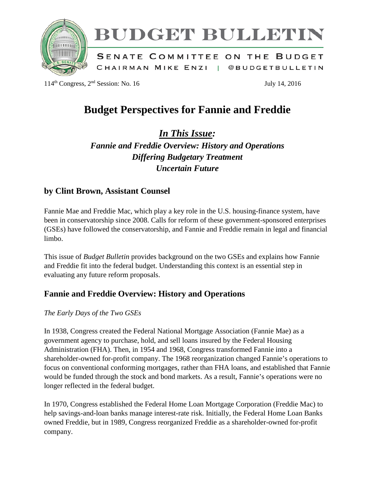

# BUDGET BULLETIN

SENATE COMMITTEE ON THE BUDGET CHAIRMAN MIKE ENZI | @BUDGETBULLETIN

 $114<sup>th</sup> Congress, 2<sup>nd</sup> Session: No. 16$  July 14, 2016

## **Budget Perspectives for Fannie and Freddie**

*In This Issue:*

*Fannie and Freddie Overview: History and Operations Differing Budgetary Treatment Uncertain Future*

### **by Clint Brown, Assistant Counsel**

Fannie Mae and Freddie Mac, which play a key role in the U.S. housing-finance system, have been in conservatorship since 2008. Calls for reform of these government-sponsored enterprises (GSEs) have followed the conservatorship, and Fannie and Freddie remain in legal and financial limbo.

This issue of *Budget Bulletin* provides background on the two GSEs and explains how Fannie and Freddie fit into the federal budget. Understanding this context is an essential step in evaluating any future reform proposals.

### **Fannie and Freddie Overview: History and Operations**

#### *The Early Days of the Two GSEs*

In 1938, Congress created the Federal National Mortgage Association (Fannie Mae) as a government agency to purchase, hold, and sell loans insured by the Federal Housing Administration (FHA). Then, in 1954 and 1968, Congress transformed Fannie into a shareholder-owned for-profit company. The 1968 reorganization changed Fannie's operations to focus on conventional conforming mortgages, rather than FHA loans, and established that Fannie would be funded through the stock and bond markets. As a result, Fannie's operations were no longer reflected in the federal budget.

In 1970, Congress established the Federal Home Loan Mortgage Corporation (Freddie Mac) to help savings-and-loan banks manage interest-rate risk. Initially, the Federal Home Loan Banks owned Freddie, but in 1989, Congress reorganized Freddie as a shareholder-owned for-profit company.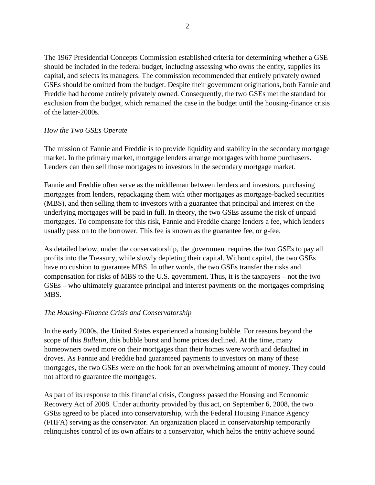The 1967 Presidential Concepts Commission established criteria for determining whether a GSE should be included in the federal budget, including assessing who owns the entity, supplies its capital, and selects its managers. The commission recommended that entirely privately owned GSEs should be omitted from the budget. Despite their government originations, both Fannie and Freddie had become entirely privately owned. Consequently, the two GSEs met the standard for exclusion from the budget, which remained the case in the budget until the housing-finance crisis of the latter-2000s.

#### *How the Two GSEs Operate*

The mission of Fannie and Freddie is to provide liquidity and stability in the secondary mortgage market. In the primary market, mortgage lenders arrange mortgages with home purchasers. Lenders can then sell those mortgages to investors in the secondary mortgage market.

Fannie and Freddie often serve as the middleman between lenders and investors, purchasing mortgages from lenders, repackaging them with other mortgages as mortgage-backed securities (MBS), and then selling them to investors with a guarantee that principal and interest on the underlying mortgages will be paid in full. In theory, the two GSEs assume the risk of unpaid mortgages. To compensate for this risk, Fannie and Freddie charge lenders a fee, which lenders usually pass on to the borrower. This fee is known as the guarantee fee, or g-fee.

As detailed below, under the conservatorship, the government requires the two GSEs to pay all profits into the Treasury, while slowly depleting their capital. Without capital, the two GSEs have no cushion to guarantee MBS. In other words, the two GSEs transfer the risks and compensation for risks of MBS to the U.S. government. Thus, it is the taxpayers – not the two GSEs – who ultimately guarantee principal and interest payments on the mortgages comprising MBS.

#### *The Housing-Finance Crisis and Conservatorship*

In the early 2000s, the United States experienced a housing bubble. For reasons beyond the scope of this *Bulletin*, this bubble burst and home prices declined. At the time, many homeowners owed more on their mortgages than their homes were worth and defaulted in droves. As Fannie and Freddie had guaranteed payments to investors on many of these mortgages, the two GSEs were on the hook for an overwhelming amount of money. They could not afford to guarantee the mortgages.

As part of its response to this financial crisis, Congress passed the Housing and Economic Recovery Act of 2008. Under authority provided by this act, on September 6, 2008, the two GSEs agreed to be placed into conservatorship, with the Federal Housing Finance Agency (FHFA) serving as the conservator. An organization placed in conservatorship temporarily relinquishes control of its own affairs to a conservator, which helps the entity achieve sound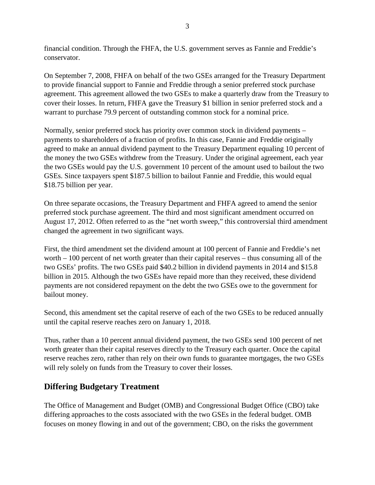financial condition. Through the FHFA, the U.S. government serves as Fannie and Freddie's conservator.

On September 7, 2008, FHFA on behalf of the two GSEs arranged for the Treasury Department to provide financial support to Fannie and Freddie through a senior preferred stock purchase agreement. This agreement allowed the two GSEs to make a quarterly draw from the Treasury to cover their losses. In return, FHFA gave the Treasury \$1 billion in senior preferred stock and a warrant to purchase 79.9 percent of outstanding common stock for a nominal price.

Normally, senior preferred stock has priority over common stock in dividend payments – payments to shareholders of a fraction of profits. In this case, Fannie and Freddie originally agreed to make an annual dividend payment to the Treasury Department equaling 10 percent of the money the two GSEs withdrew from the Treasury. Under the original agreement, each year the two GSEs would pay the U.S. government 10 percent of the amount used to bailout the two GSEs. Since taxpayers spent \$187.5 billion to bailout Fannie and Freddie, this would equal \$18.75 billion per year.

On three separate occasions, the Treasury Department and FHFA agreed to amend the senior preferred stock purchase agreement. The third and most significant amendment occurred on August 17, 2012. Often referred to as the "net worth sweep," this controversial third amendment changed the agreement in two significant ways.

First, the third amendment set the dividend amount at 100 percent of Fannie and Freddie's net worth – 100 percent of net worth greater than their capital reserves – thus consuming all of the two GSEs' profits. The two GSEs paid \$40.2 billion in dividend payments in 2014 and \$15.8 billion in 2015. Although the two GSEs have repaid more than they received, these dividend payments are not considered repayment on the debt the two GSEs owe to the government for bailout money.

Second, this amendment set the capital reserve of each of the two GSEs to be reduced annually until the capital reserve reaches zero on January 1, 2018.

Thus, rather than a 10 percent annual dividend payment, the two GSEs send 100 percent of net worth greater than their capital reserves directly to the Treasury each quarter. Once the capital reserve reaches zero, rather than rely on their own funds to guarantee mortgages, the two GSEs will rely solely on funds from the Treasury to cover their losses.

### **Differing Budgetary Treatment**

The Office of Management and Budget (OMB) and Congressional Budget Office (CBO) take differing approaches to the costs associated with the two GSEs in the federal budget. OMB focuses on money flowing in and out of the government; CBO, on the risks the government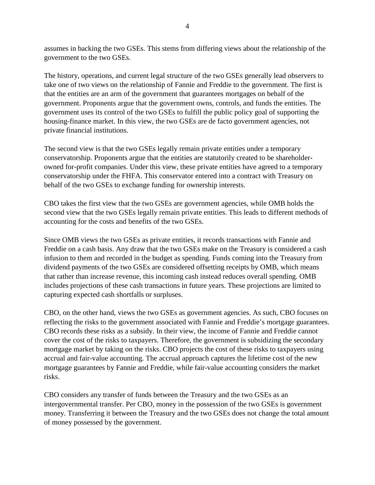assumes in backing the two GSEs. This stems from differing views about the relationship of the government to the two GSEs.

The history, operations, and current legal structure of the two GSEs generally lead observers to take one of two views on the relationship of Fannie and Freddie to the government. The first is that the entities are an arm of the government that guarantees mortgages on behalf of the government. Proponents argue that the government owns, controls, and funds the entities. The government uses its control of the two GSEs to fulfill the public policy goal of supporting the housing-finance market. In this view, the two GSEs are de facto government agencies, not private financial institutions.

The second view is that the two GSEs legally remain private entities under a temporary conservatorship. Proponents argue that the entities are statutorily created to be shareholderowned for-profit companies. Under this view, these private entities have agreed to a temporary conservatorship under the FHFA. This conservator entered into a contract with Treasury on behalf of the two GSEs to exchange funding for ownership interests.

CBO takes the first view that the two GSEs are government agencies, while OMB holds the second view that the two GSEs legally remain private entities. This leads to different methods of accounting for the costs and benefits of the two GSEs.

Since OMB views the two GSEs as private entities, it records transactions with Fannie and Freddie on a cash basis. Any draw that the two GSEs make on the Treasury is considered a cash infusion to them and recorded in the budget as spending. Funds coming into the Treasury from dividend payments of the two GSEs are considered offsetting receipts by OMB, which means that rather than increase revenue, this incoming cash instead reduces overall spending. OMB includes projections of these cash transactions in future years. These projections are limited to capturing expected cash shortfalls or surpluses.

CBO, on the other hand, views the two GSEs as government agencies. As such, CBO focuses on reflecting the risks to the government associated with Fannie and Freddie's mortgage guarantees. CBO records these risks as a subsidy. In their view, the income of Fannie and Freddie cannot cover the cost of the risks to taxpayers. Therefore, the government is subsidizing the secondary mortgage market by taking on the risks. CBO projects the cost of these risks to taxpayers using accrual and fair-value accounting. The accrual approach captures the lifetime cost of the new mortgage guarantees by Fannie and Freddie, while fair-value accounting considers the market risks.

CBO considers any transfer of funds between the Treasury and the two GSEs as an intergovernmental transfer. Per CBO, money in the possession of the two GSEs is government money. Transferring it between the Treasury and the two GSEs does not change the total amount of money possessed by the government.